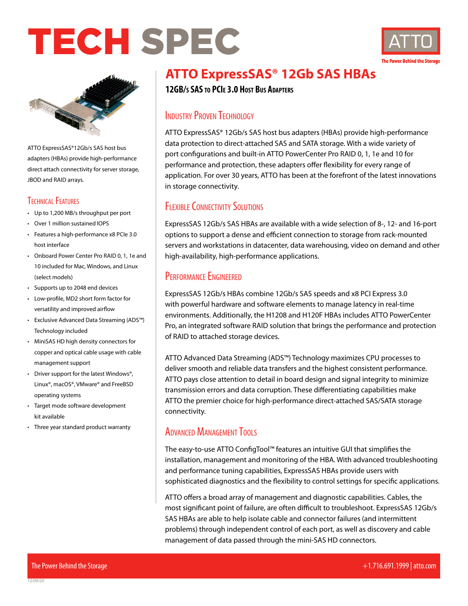# TECH SPEC





ATTO ExpressSAS®12Gb/s SAS host bus adapters (HBAs) provide high-performance direct attach connectivity for server storage, JBOD and RAID arrays.

### Technical Features

- Up to 1,200 MB/s throughput per port
- Over 1 million sustained IOPS
- Features a high-performance x8 PCIe 3.0 host interface
- Onboard Power Center Pro RAID 0, 1, 1e and 10 included for Mac, Windows, and Linux (select models)
- Supports up to 2048 end devices
- Low-profile, MD2 short form factor for versatility and improved airflow
- Exclusive Advanced Data Streaming (ADS™) Technology included
- MiniSAS HD high density connectors for copper and optical cable usage with cable management support
- Driver support for the latest Windows®, Linux®, macOS®, VMware® and FreeBSD operating systems
- Target mode software development kit available
- Three year standard product warranty

# **ATTO ExpressSAS® 12Gb SAS HBAs**

**12GB/s SAS TO PCIE 3.0 HOST BUS ADAPTERS** 

# **INDUSTRY PROVEN TECHNOLOGY**

ATTO ExpressSAS® 12Gb/s SAS host bus adapters (HBAs) provide high-performance data protection to direct-attached SAS and SATA storage. With a wide variety of port configurations and built-in ATTO PowerCenter Pro RAID 0, 1, 1e and 10 for performance and protection, these adapters offer flexibility for every range of application. For over 30 years, ATTO has been at the forefront of the latest innovations in storage connectivity.

# **FLEXIBLE CONNECTIVITY SOLUTIONS**

ExpressSAS 12Gb/s SAS HBAs are available with a wide selection of 8-, 12- and 16-port options to support a dense and efficient connection to storage from rack-mounted servers and workstations in datacenter, data warehousing, video on demand and other high-availability, high-performance applications.

# PERFORMANCE ENGINEERED

ExpressSAS 12Gb/s HBAs combine 12Gb/s SAS speeds and x8 PCI Express 3.0 with powerful hardware and software elements to manage latency in real-time environments. Additionally, the H1208 and H120F HBAs includes ATTO PowerCenter Pro, an integrated software RAID solution that brings the performance and protection of RAID to attached storage devices.

ATTO Advanced Data Streaming (ADS™) Technology maximizes CPU processes to deliver smooth and reliable data transfers and the highest consistent performance. ATTO pays close attention to detail in board design and signal integrity to minimize transmission errors and data corruption. These differentiating capabilities make ATTO the premier choice for high-performance direct-attached SAS/SATA storage connectivity.

# **ADVANCED MANAGEMENT TOOLS**

The easy-to-use ATTO ConfigTool™ features an intuitive GUI that simplifies the installation, management and monitoring of the HBA. With advanced troubleshooting and performance tuning capabilities, ExpressSAS HBAs provide users with sophisticated diagnostics and the flexibility to control settings for specific applications.

ATTO offers a broad array of management and diagnostic capabilities. Cables, the most significant point of failure, are often difficult to troubleshoot. ExpressSAS 12Gb/s SAS HBAs are able to help isolate cable and connector failures (and intermittent problems) through independent control of each port, as well as discovery and cable management of data passed through the mini-SAS HD connectors.

*12/09/20*